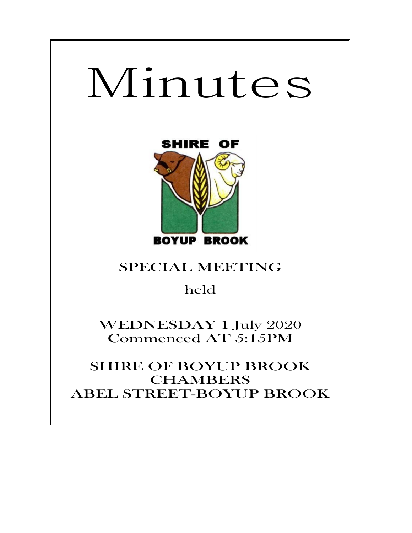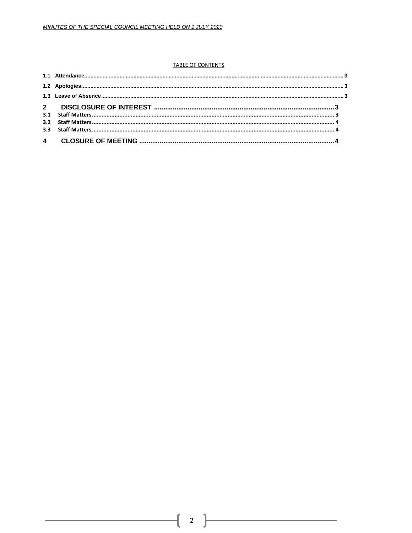#### **TABLE OF CONTENTS**

ſ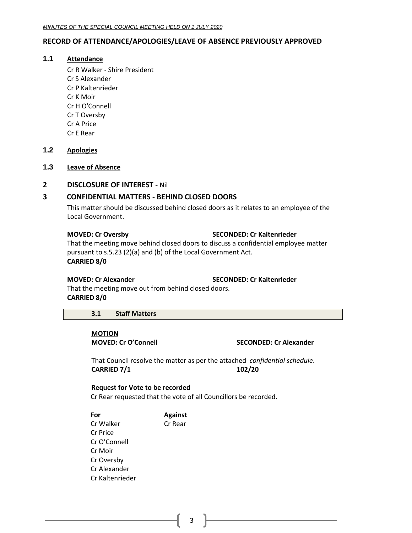# <span id="page-2-0"></span>**RECORD OF ATTENDANCE/APOLOGIES/LEAVE OF ABSENCE PREVIOUSLY APPROVED**

### **1.1 Attendance**

Cr R Walker - Shire President Cr S Alexander Cr P Kaltenrieder Cr K Moir Cr H O'Connell Cr T Oversby Cr A Price Cr E Rear

# <span id="page-2-1"></span>**1.2 Apologies**

# <span id="page-2-2"></span>**1.3 Leave of Absence**

### <span id="page-2-3"></span>**2 DISCLOSURE OF INTEREST -** Nil

# **3 CONFIDENTIAL MATTERS - BEHIND CLOSED DOORS**

This matter should be discussed behind closed doors as it relates to an employee of the Local Government.

#### **MOVED: Cr Oversby SECONDED: Cr Kaltenrieder**

That the meeting move behind closed doors to discuss a confidential employee matter pursuant to s.5.23 (2)(a) and (b) of the Local Government Act. **CARRIED 8/0**

**MOVED: Cr Alexander SECONDED: Cr Kaltenrieder**

That the meeting move out from behind closed doors. **CARRIED 8/0**

### <span id="page-2-4"></span>**3.1 Staff Matters**

**MOTION**

**MOVED: Cr O'Connell SECONDED: Cr Alexander**

That Council resolve the matter as per the attached *confidential schedule*. **CARRIED 7/1 102/20**

#### **Request for Vote to be recorded**

Cr Rear requested that the vote of all Councillors be recorded.

**For Against** Cr Walker Cr Rear Cr Price Cr O'Connell Cr Moir Cr Oversby Cr Alexander Cr Kaltenrieder